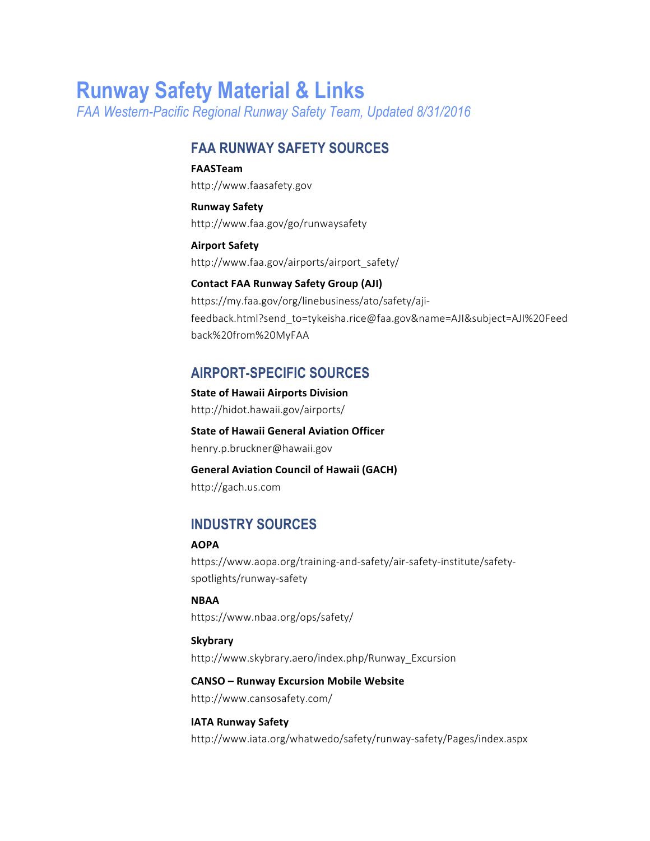## **Runway Safety Material & Links**

*FAA Western-Pacific Regional Runway Safety Team, Updated 8/31/2016*

## **FAA RUNWAY SAFETY SOURCES**

**FAASTeam** http://www.faasafety.gov

**Runway Safety**  http://www.faa.gov/go/runwaysafety

**Airport Safety** http://www.faa.gov/airports/airport\_safety/

#### **Contact FAA Runway Safety Group (AJI)**

https://my.faa.gov/org/linebusiness/ato/safety/ajifeedback.html?send\_to=tykeisha.rice@faa.gov&name=AJI&subject=AJI%20Feed back%20from%20MyFAA

### **AIRPORT-SPECIFIC SOURCES**

**State of Hawaii Airports Division** http://hidot.hawaii.gov/airports/

**State of Hawaii General Aviation Officer** henry.p.bruckner@hawaii.gov

**General Aviation Council of Hawaii (GACH)** http://gach.us.com

## **INDUSTRY SOURCES**

#### **AOPA**

https://www.aopa.org/training-and-safety/air-safety-institute/safetyspotlights/runway-safety

**NBAA** https://www.nbaa.org/ops/safety/

**Skybrary** http://www.skybrary.aero/index.php/Runway\_Excursion

**CANSO – Runway Excursion Mobile Website** http://www.cansosafety.com/

**IATA Runway Safety** http://www.iata.org/whatwedo/safety/runway-safety/Pages/index.aspx